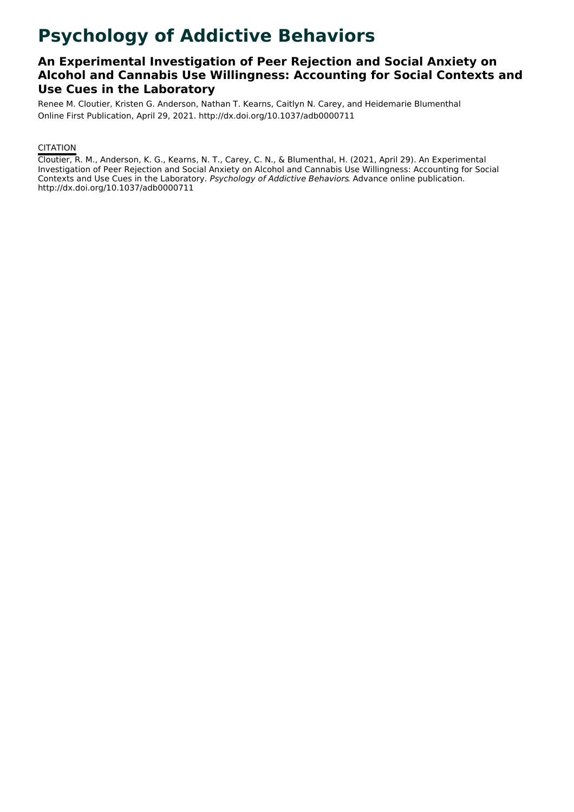# **Psychology of Addictive Behaviors**

### **An Experimental Investigation of Peer Rejection and Social Anxiety on Alcohol and Cannabis Use Willingness: Accounting for Social Contexts and Use Cues in the Laboratory**

Renee M. Cloutier, Kristen G. Anderson, Nathan T. Kearns, Caitlyn N. Carey, and Heidemarie Blumenthal Online First Publication, April 29, 2021. http://dx.doi.org/10.1037/adb0000711

#### **CITATION**

Cloutier, R. M., Anderson, K. G., Kearns, N. T., Carey, C. N., & Blumenthal, H. (2021, April 29). An Experimental Investigation of Peer Rejection and Social Anxiety on Alcohol and Cannabis Use Willingness: Accounting for Social Contexts and Use Cues in the Laboratory. Psychology of Addictive Behaviors. Advance online publication. http://dx.doi.org/10.1037/adb0000711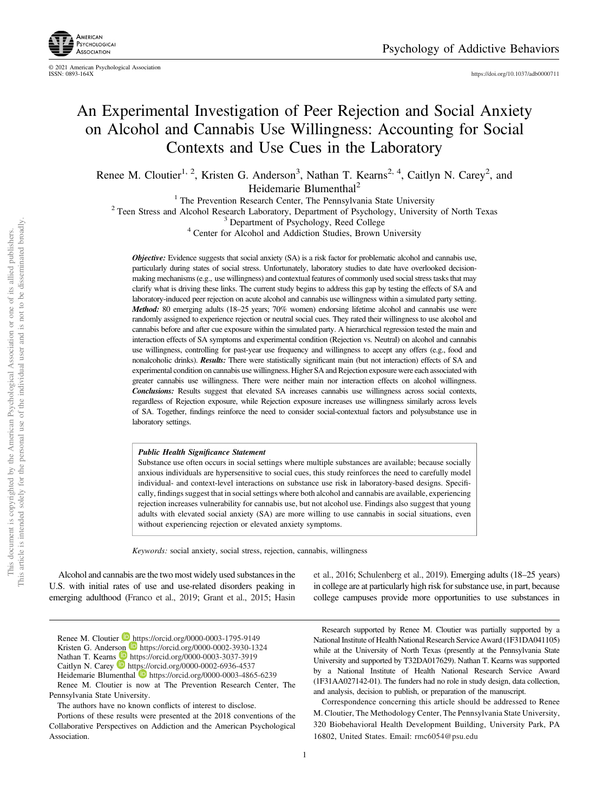

<https://doi.org/10.1037/adb0000711>

## An Experimental Investigation of Peer Rejection and Social Anxiety on Alcohol and Cannabis Use Willingness: Accounting for Social Contexts and Use Cues in the Laboratory

Renee M. Cloutier<sup>1, 2</sup>, Kristen G. Anderson<sup>3</sup>, Nathan T. Kearns<sup>2, 4</sup>, Caitlyn N. Carey<sup>2</sup>, and Heidemarie Blumenthal<sup>2</sup>

<sup>1</sup> The Prevention Research Center, The Pennsylvania State University<br><sup>2</sup> Teen Stress and Alcohol Research Laboratory, Department of Psychology, University of North Texas<br><sup>3</sup> Department of Psychology, Reed College<br><sup>4</sup> Cen

Objective: Evidence suggests that social anxiety (SA) is a risk factor for problematic alcohol and cannabis use, particularly during states of social stress. Unfortunately, laboratory studies to date have overlooked decisionmaking mechanisms (e.g., use willingness) and contextual features of commonly used social stress tasks that may clarify what is driving these links. The current study begins to address this gap by testing the effects of SA and laboratory-induced peer rejection on acute alcohol and cannabis use willingness within a simulated party setting. Method: 80 emerging adults (18–25 years; 70% women) endorsing lifetime alcohol and cannabis use were randomly assigned to experience rejection or neutral social cues. They rated their willingness to use alcohol and cannabis before and after cue exposure within the simulated party. A hierarchical regression tested the main and interaction effects of SA symptoms and experimental condition (Rejection vs. Neutral) on alcohol and cannabis use willingness, controlling for past-year use frequency and willingness to accept any offers (e.g., food and nonalcoholic drinks). Results: There were statistically significant main (but not interaction) effects of SA and experimental condition on cannabis use willingness. Higher SA and Rejection exposure were each associated with greater cannabis use willingness. There were neither main nor interaction effects on alcohol willingness. Conclusions: Results suggest that elevated SA increases cannabis use willingness across social contexts, regardless of Rejection exposure, while Rejection exposure increases use willingness similarly across levels of SA. Together, findings reinforce the need to consider social-contextual factors and polysubstance use in laboratory settings.

#### Public Health Significance Statement

Substance use often occurs in social settings where multiple substances are available; because socially anxious individuals are hypersensitive to social cues, this study reinforces the need to carefully model individual- and context-level interactions on substance use risk in laboratory-based designs. Specifically, findings suggest that in social settings where both alcohol and cannabis are available, experiencing rejection increases vulnerability for cannabis use, but not alcohol use. Findings also suggest that young adults with elevated social anxiety (SA) are more willing to use cannabis in social situations, even without experiencing rejection or elevated anxiety symptoms.

Keywords: social anxiety, social stress, rejection, cannabis, willingness

Alcohol and cannabis are the two most widely used substances in the U.S. with initial rates of use and use-related disorders peaking in emerging adulthood (Franco et al., 2019; Grant et al., 2015; Hasin et al., 2016; Schulenberg et al., 2019). Emerging adults (18–25 years) in college are at particularly high risk for substance use, in part, because college campuses provide more opportunities to use substances in

Renee M. Cloutier is now at The Prevention Research Center, The Pennsylvania State University.

The authors have no known conflicts of interest to disclose.

Research supported by Renee M. Cloutier was partially supported by a National Institute of Health National Research Service Award (1F31DA041105) while at the University of North Texas (presently at the Pennsylvania State University and supported by T32DA017629). Nathan T. Kearns was supported by a National Institute of Health National Research Service Award (1F31AA027142-01). The funders had no role in study design, data collection, and analysis, decision to publish, or preparation of the manuscript.

Correspondence concerning this article should be addressed to Renee M. Cloutier, The Methodology Center, The Pennsylvania State University, 320 Biobehavioral Health Development Building, University Park, PA 16802, United States. Email: [rmc6054@psu.edu](mailto:rmc6054@psu.edu)

Renee M. Cloutier **<https://orcid.org/0000-0003-1795-9149>** 

Kristen G. Anderson <https://orcid.org/0000-0002-3930-1324> Nathan T. Kearns **<https://orcid.org/0000-0003-3037-3919>** 

Caitlyn N. Carey **b** <https://orcid.org/0000-0002-6936-4537>

Heidemarie Blumenthal **b** <https://orcid.org/0000-0003-4865-6239>

Portions of these results were presented at the 2018 conventions of the Collaborative Perspectives on Addiction and the American Psychological Association.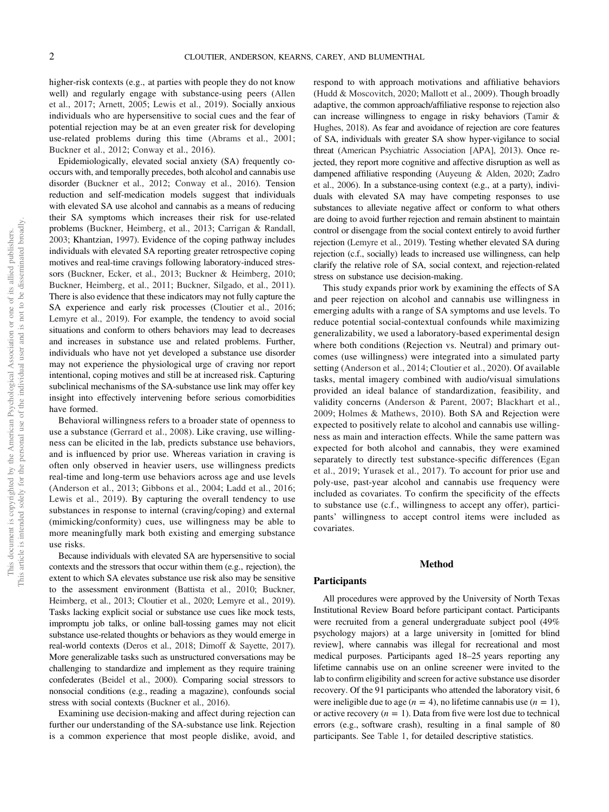higher-risk contexts (e.g., at parties with people they do not know well) and regularly engage with substance-using peers (Allen et al., 2017; Arnett, 2005; Lewis et al., 2019). Socially anxious individuals who are hypersensitive to social cues and the fear of potential rejection may be at an even greater risk for developing use-related problems during this time (Abrams et al., 2001; Buckner et al., 2012; Conway et al., 2016).

Epidemiologically, elevated social anxiety (SA) frequently cooccurs with, and temporally precedes, both alcohol and cannabis use disorder (Buckner et al., 2012; Conway et al., 2016). Tension reduction and self-medication models suggest that individuals with elevated SA use alcohol and cannabis as a means of reducing their SA symptoms which increases their risk for use-related problems (Buckner, Heimberg, et al., 2013; Carrigan & Randall, 2003; Khantzian, 1997). Evidence of the coping pathway includes individuals with elevated SA reporting greater retrospective coping motives and real-time cravings following laboratory-induced stressors (Buckner, Ecker, et al., 2013; Buckner & Heimberg, 2010; Buckner, Heimberg, et al., 2011; Buckner, Silgado, et al., 2011). There is also evidence that these indicators may not fully capture the SA experience and early risk processes (Cloutier et al., 2016; Lemyre et al., 2019). For example, the tendency to avoid social situations and conform to others behaviors may lead to decreases and increases in substance use and related problems. Further, individuals who have not yet developed a substance use disorder may not experience the physiological urge of craving nor report intentional, coping motives and still be at increased risk. Capturing subclinical mechanisms of the SA-substance use link may offer key insight into effectively intervening before serious comorbidities have formed.

Behavioral willingness refers to a broader state of openness to use a substance (Gerrard et al., 2008). Like craving, use willingness can be elicited in the lab, predicts substance use behaviors, and is influenced by prior use. Whereas variation in craving is often only observed in heavier users, use willingness predicts real-time and long-term use behaviors across age and use levels (Anderson et al., 2013; Gibbons et al., 2004; Ladd et al., 2016; Lewis et al., 2019). By capturing the overall tendency to use substances in response to internal (craving/coping) and external (mimicking/conformity) cues, use willingness may be able to more meaningfully mark both existing and emerging substance use risks.

Because individuals with elevated SA are hypersensitive to social contexts and the stressors that occur within them (e.g., rejection), the extent to which SA elevates substance use risk also may be sensitive to the assessment environment (Battista et al., 2010; Buckner, Heimberg, et al., 2013; Cloutier et al., 2020; Lemyre et al., 2019). Tasks lacking explicit social or substance use cues like mock tests, impromptu job talks, or online ball-tossing games may not elicit substance use-related thoughts or behaviors as they would emerge in real-world contexts (Deros et al., 2018; Dimoff & Sayette, 2017). More generalizable tasks such as unstructured conversations may be challenging to standardize and implement as they require training confederates (Beidel et al., 2000). Comparing social stressors to nonsocial conditions (e.g., reading a magazine), confounds social stress with social contexts (Buckner et al., 2016).

Examining use decision-making and affect during rejection can further our understanding of the SA-substance use link. Rejection is a common experience that most people dislike, avoid, and respond to with approach motivations and affiliative behaviors (Hudd & Moscovitch, 2020; Mallott et al., 2009). Though broadly adaptive, the common approach/affiliative response to rejection also can increase willingness to engage in risky behaviors (Tamir & Hughes, 2018). As fear and avoidance of rejection are core features of SA, individuals with greater SA show hyper-vigilance to social threat (American Psychiatric Association [APA], 2013). Once rejected, they report more cognitive and affective disruption as well as dampened affiliative responding (Auyeung & Alden, 2020; Zadro et al., 2006). In a substance-using context (e.g., at a party), individuals with elevated SA may have competing responses to use substances to alleviate negative affect or conform to what others are doing to avoid further rejection and remain abstinent to maintain control or disengage from the social context entirely to avoid further rejection (Lemyre et al., 2019). Testing whether elevated SA during rejection (c.f., socially) leads to increased use willingness, can help clarify the relative role of SA, social context, and rejection-related stress on substance use decision-making.

This study expands prior work by examining the effects of SA and peer rejection on alcohol and cannabis use willingness in emerging adults with a range of SA symptoms and use levels. To reduce potential social-contextual confounds while maximizing generalizability, we used a laboratory-based experimental design where both conditions (Rejection vs. Neutral) and primary outcomes (use willingness) were integrated into a simulated party setting (Anderson et al., 2014; Cloutier et al., 2020). Of available tasks, mental imagery combined with audio/visual simulations provided an ideal balance of standardization, feasibility, and validity concerns (Anderson & Parent, 2007; Blackhart et al., 2009; Holmes & Mathews, 2010). Both SA and Rejection were expected to positively relate to alcohol and cannabis use willingness as main and interaction effects. While the same pattern was expected for both alcohol and cannabis, they were examined separately to directly test substance-specific differences (Egan et al., 2019; Yurasek et al., 2017). To account for prior use and poly-use, past-year alcohol and cannabis use frequency were included as covariates. To confirm the specificity of the effects to substance use (c.f., willingness to accept any offer), participants' willingness to accept control items were included as covariates.

#### Method

#### **Participants**

All procedures were approved by the University of North Texas Institutional Review Board before participant contact. Participants were recruited from a general undergraduate subject pool (49% psychology majors) at a large university in [omitted for blind review], where cannabis was illegal for recreational and most medical purposes. Participants aged 18–25 years reporting any lifetime cannabis use on an online screener were invited to the lab to confirm eligibility and screen for active substance use disorder recovery. Of the 91 participants who attended the laboratory visit, 6 were ineligible due to age ( $n = 4$ ), no lifetime cannabis use ( $n = 1$ ), or active recovery  $(n = 1)$ . Data from five were lost due to technical errors (e.g., software crash), resulting in a final sample of 80 participants. See Table 1, for detailed descriptive statistics.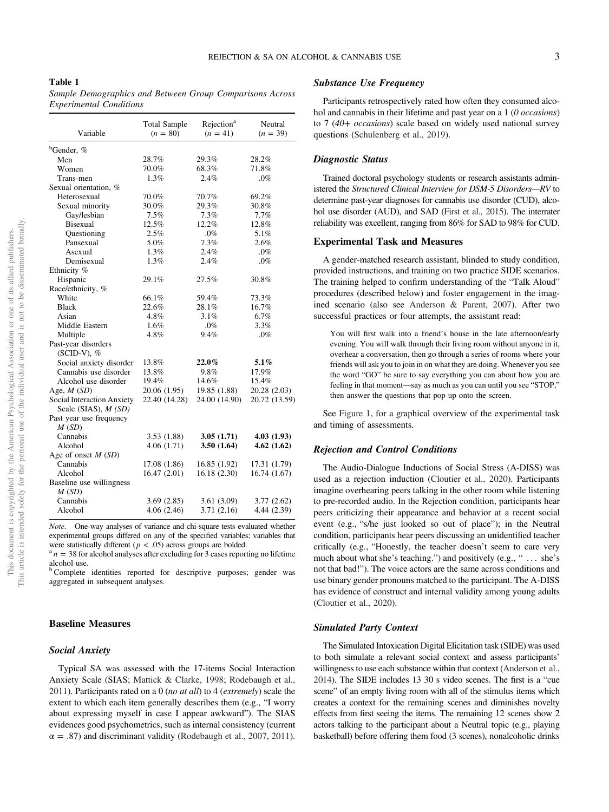Sample Demographics and Between Group Comparisons Across Experimental Conditions

| Variable                          | <b>Total Sample</b><br>$(n = 80)$ | Rejection <sup>a</sup><br>$(n = 41)$ | Neutral<br>$(n = 39)$ |  |
|-----------------------------------|-----------------------------------|--------------------------------------|-----------------------|--|
| <sup>b</sup> Gender, %            |                                   |                                      |                       |  |
| Men                               | 28.7%                             | 29.3%                                | 28.2%                 |  |
| Women                             | 70.0%                             | 68.3%                                | 71.8%                 |  |
| Trans-men                         | 1.3%                              | 2.4%                                 | $.0\%$                |  |
| Sexual orientation, %             |                                   |                                      |                       |  |
| Heterosexual                      | 70.0%                             | 70.7%                                | 69.2%                 |  |
| Sexual minority                   | 30.0%                             | 29.3%                                | 30.8%                 |  |
| Gay/lesbian                       | 7.5%                              | 7.3%                                 | 7.7%                  |  |
| <b>Bisexual</b>                   | 12.5%                             | 12.2%                                | 12.8%                 |  |
| Questioning                       | 2.5%                              | $.0\%$                               | 5.1%                  |  |
| Pansexual                         | 5.0%                              | 7.3%                                 | 2.6%                  |  |
| Asexual                           | 1.3%                              | 2.4%                                 | $.0\%$                |  |
| Demisexual                        | 1.3%                              | 2.4%                                 | .0%                   |  |
| Ethnicity %                       |                                   |                                      |                       |  |
| Hispanic                          | 29.1%                             | 27.5%                                | 30.8%                 |  |
| Race/ethnicity, %                 |                                   |                                      |                       |  |
| White                             | 66.1%                             | 59.4%                                | 73.3%                 |  |
| <b>Black</b>                      | 22.6%                             | 28.1%                                | 16.7%                 |  |
| Asian                             | 4.8%                              | 3.1%                                 | 6.7%                  |  |
| Middle Eastern                    | 1.6%                              | $.0\%$                               | 3.3%                  |  |
| Multiple                          | 4.8%                              | 9.4%                                 | .0%                   |  |
| Past-year disorders               |                                   |                                      |                       |  |
| $(SCID-V), \%$                    |                                   |                                      |                       |  |
| Social anxiety disorder           | 13.8%                             | $22.0\%$                             | $5.1\%$               |  |
| Cannabis use disorder             | 13.8%                             | 9.8%                                 | 17.9%                 |  |
| Alcohol use disorder              | 19.4%                             | 14.6%                                | 15.4%                 |  |
| Age, $M(SD)$                      | 20.06 (1.95)                      | 19.85 (1.88)                         | 20.28 (2.03)          |  |
| <b>Social Interaction Anxiety</b> | 22.40 (14.28)                     | 24.00 (14.90)                        | 20.72 (13.59)         |  |
| Scale (SIAS), $M(SD)$             |                                   |                                      |                       |  |
| Past year use frequency           |                                   |                                      |                       |  |
| M(SD)                             |                                   |                                      |                       |  |
| Cannabis                          | 3.53(1.88)                        | 3.05(1.71)                           | 4.03(1.93)            |  |
| Alcohol                           | 4.06(1.71)                        | 3.50(1.64)                           | 4.62(1.62)            |  |
| Age of onset $M(SD)$              |                                   |                                      |                       |  |
| Cannabis                          | 17.08 (1.86)                      | 16.85 (1.92)                         | 17.31 (1.79)          |  |
| Alcohol                           | 16.47(2.01)                       | 16.18(2.30)                          | 16.74 (1.67)          |  |
| Baseline use willingness          |                                   |                                      |                       |  |
| M(SD)                             |                                   |                                      |                       |  |
| Cannabis                          | 3.69(2.85)                        | 3.61(3.09)                           | 3.77(2.62)            |  |
| Alcohol                           | 4.06(2.46)                        | 3.71 (2.16)                          | 4.44 (2.39)           |  |

Note. One-way analyses of variance and chi-square tests evaluated whether experimental groups differed on any of the specified variables; variables that were statistically different ( $p < .05$ ) across groups are bolded.

 $n^a$  n = 38 for alcohol analyses after excluding for 3 cases reporting no lifetime alcohol use.

<sup>b</sup> Complete identities reported for descriptive purposes; gender was aggregated in subsequent analyses.

#### Baseline Measures

#### Social Anxiety

Typical SA was assessed with the 17-items Social Interaction Anxiety Scale (SIAS; Mattick & Clarke, 1998; Rodebaugh et al., 2011). Participants rated on a 0 (no at all) to 4 (extremely) scale the extent to which each item generally describes them (e.g., "I worry about expressing myself in case I appear awkward"). The SIAS evidences good psychometrics, such as internal consistency (current  $\alpha = .87$ ) and discriminant validity (Rodebaugh et al., 2007, 2011).

#### Substance Use Frequency

Participants retrospectively rated how often they consumed alcohol and cannabis in their lifetime and past year on a 1 (0 occasions) to 7 (40+ occasions) scale based on widely used national survey questions (Schulenberg et al., 2019).

#### Diagnostic Status

Trained doctoral psychology students or research assistants administered the Structured Clinical Interview for DSM-5 Disorders—RV to determine past-year diagnoses for cannabis use disorder (CUD), alcohol use disorder (AUD), and SAD (First et al., 2015). The interrater reliability was excellent, ranging from 86% for SAD to 98% for CUD.

#### Experimental Task and Measures

A gender-matched research assistant, blinded to study condition, provided instructions, and training on two practice SIDE scenarios. The training helped to confirm understanding of the "Talk Aloud" procedures (described below) and foster engagement in the imagined scenario (also see Anderson & Parent, 2007). After two successful practices or four attempts, the assistant read:

You will first walk into a friend's house in the late afternoon/early evening. You will walk through their living room without anyone in it, overhear a conversation, then go through a series of rooms where your friends will ask you to join in on what they are doing. Whenever you see the word "GO" be sure to say everything you can about how you are feeling in that moment—say as much as you can until you see "STOP," then answer the questions that pop up onto the screen.

See [Figure 1](#page-4-0), for a graphical overview of the experimental task and timing of assessments.

#### Rejection and Control Conditions

The Audio-Dialogue Inductions of Social Stress (A-DISS) was used as a rejection induction (Cloutier et al., 2020). Participants imagine overhearing peers talking in the other room while listening to pre-recorded audio. In the Rejection condition, participants hear peers criticizing their appearance and behavior at a recent social event (e.g., "s/he just looked so out of place"); in the Neutral condition, participants hear peers discussing an unidentified teacher critically (e.g., "Honestly, the teacher doesn't seem to care very much about what she's teaching.") and positively (e.g., " ... she's not that bad!"). The voice actors are the same across conditions and use binary gender pronouns matched to the participant. The A-DISS has evidence of construct and internal validity among young adults (Cloutier et al., 2020).

#### Simulated Party Context

The Simulated Intoxication Digital Elicitation task (SIDE) was used to both simulate a relevant social context and assess participants' willingness to use each substance within that context (Anderson et al., 2014). The SIDE includes 13 30 s video scenes. The first is a "cue scene" of an empty living room with all of the stimulus items which creates a context for the remaining scenes and diminishes novelty effects from first seeing the items. The remaining 12 scenes show 2 actors talking to the participant about a Neutral topic (e.g., playing basketball) before offering them food (3 scenes), nonalcoholic drinks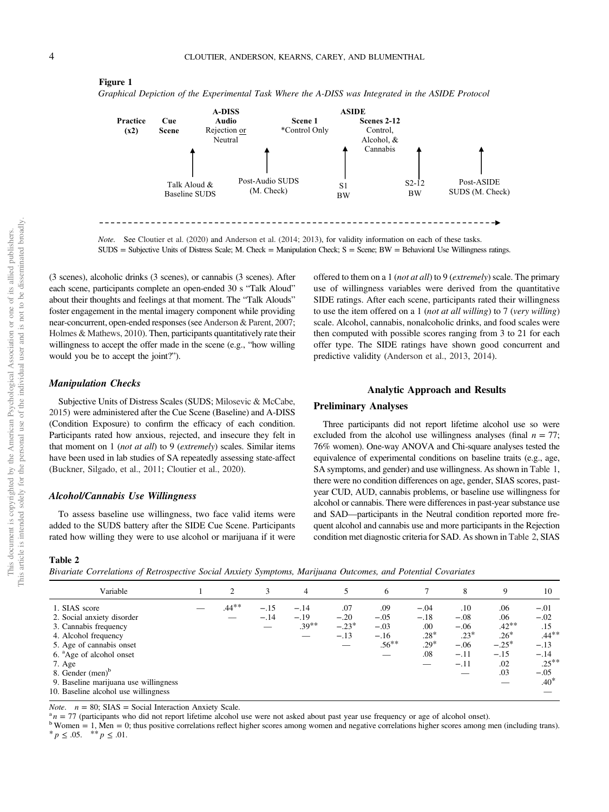#### <span id="page-4-0"></span>Figure 1

Graphical Depiction of the Experimental Task Where the A-DISS was Integrated in the ASIDE Protocol



Note. See Cloutier et al. (2020) and Anderson et al. (2014; 2013), for validity information on each of these tasks. SUDS = Subjective Units of Distress Scale; M. Check = Manipulation Check; S = Scene; BW = Behavioral Use Willingness ratings.

offered to them on a 1 (not at all) to 9 (extremely) scale. The primary use of willingness variables were derived from the quantitative SIDE ratings. After each scene, participants rated their willingness to use the item offered on a 1 (not at all willing) to 7 (very willing) scale. Alcohol, cannabis, nonalcoholic drinks, and food scales were then computed with possible scores ranging from 3 to 21 for each offer type. The SIDE ratings have shown good concurrent and

Analytic Approach and Results

Three participants did not report lifetime alcohol use so were excluded from the alcohol use willingness analyses (final  $n = 77$ ; 76% women). One-way ANOVA and Chi-square analyses tested the equivalence of experimental conditions on baseline traits (e.g., age, SA symptoms, and gender) and use willingness. As shown in Table 1, there were no condition differences on age, gender, SIAS scores, pastyear CUD, AUD, cannabis problems, or baseline use willingness for alcohol or cannabis. There were differences in past-year substance use and SAD—participants in the Neutral condition reported more frequent alcohol and cannabis use and more participants in the Rejection condition met diagnostic criteria for SAD. As shown in Table 2, SIAS

predictive validity (Anderson et al., 2013, 2014).

Preliminary Analyses

(3 scenes), alcoholic drinks (3 scenes), or cannabis (3 scenes). After each scene, participants complete an open-ended 30 s "Talk Aloud" about their thoughts and feelings at that moment. The "Talk Alouds" foster engagement in the mental imagery component while providing near-concurrent, open-ended responses (see Anderson & Parent, 2007; Holmes & Mathews, 2010). Then, participants quantitatively rate their willingness to accept the offer made in the scene (e.g., "how willing would you be to accept the joint?").

#### Manipulation Checks

Subjective Units of Distress Scales (SUDS; Milosevic & McCabe, 2015) were administered after the Cue Scene (Baseline) and A-DISS (Condition Exposure) to confirm the efficacy of each condition. Participants rated how anxious, rejected, and insecure they felt in that moment on  $1$  (*not at all*) to  $9$  (*extremely*) scales. Similar items have been used in lab studies of SA repeatedly assessing state-affect (Buckner, Silgado, et al., 2011; Cloutier et al., 2020).

#### Alcohol/Cannabis Use Willingness

To assess baseline use willingness, two face valid items were added to the SUDS battery after the SIDE Cue Scene. Participants rated how willing they were to use alcohol or marijuana if it were

#### Table 2

Bivariate Correlations of Retrospective Social Anxiety Symptoms, Marijuana Outcomes, and Potential Covariates

| Variable                                                                                                                                                                                                                                                                                    | $\overline{c}$ | 3                | 4                            | 5                                  | 6                                             |                                                    | 8                                                               | 9                                                                  | 10                                                                                      |
|---------------------------------------------------------------------------------------------------------------------------------------------------------------------------------------------------------------------------------------------------------------------------------------------|----------------|------------------|------------------------------|------------------------------------|-----------------------------------------------|----------------------------------------------------|-----------------------------------------------------------------|--------------------------------------------------------------------|-----------------------------------------------------------------------------------------|
| 1. SIAS score<br>2. Social anxiety disorder<br>3. Cannabis frequency<br>4. Alcohol frequency<br>5. Age of cannabis onset<br>6. <sup>a</sup> Age of alcohol onset<br>7. Age<br>8. Gender (men) <sup>b</sup><br>9. Baseline marijuana use willingness<br>10. Baseline alcohol use willingness | $.44***$       | $-.15$<br>$-.14$ | $-.14$<br>$-.19$<br>$.39***$ | .07<br>$-.20$<br>$-.23*$<br>$-.13$ | .09<br>$-.05$<br>$-.03$<br>$-.16$<br>$.56***$ | $-.04$<br>$-.18$<br>.00<br>$.28*$<br>$.29*$<br>.08 | .10<br>$-.08$<br>$-.06$<br>$.23*$<br>$-.06$<br>$-.11$<br>$-.11$ | .06<br>.06<br>$.42**$<br>$.26*$<br>$-.25*$<br>$-.15$<br>.02<br>.03 | $-.01$<br>$-.02$<br>.15<br>$.44***$<br>$-.13$<br>$-.14$<br>$.25***$<br>$-.05$<br>$.40*$ |

*Note.*  $n = 80$ ; SIAS = Social Interaction Anxiety Scale.<br><sup>a</sup> $n = 77$  (participants who did not report lifetime alcohol use were not asked about past year use frequency or age of alcohol onset).

<sup>b</sup> Women = 1, Men = 0; thus positive correlations reflect higher scores among women and negative correlations higher scores among men (including trans).<br>
\*  $p \le 0.05$ . \*\*  $p \le 0.01$ .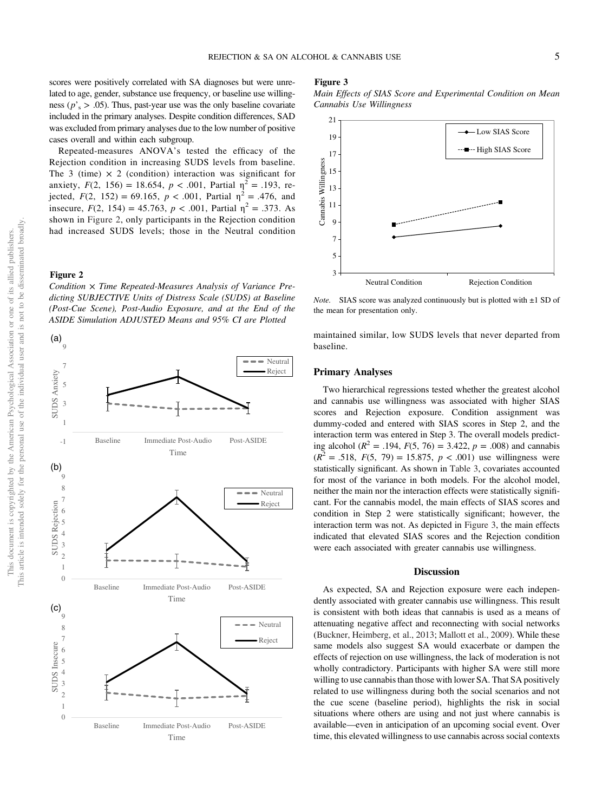scores were positively correlated with SA diagnoses but were unrelated to age, gender, substance use frequency, or baseline use willingness ( $p$ '<sub>s</sub> > .05). Thus, past-year use was the only baseline covariate included in the primary analyses. Despite condition differences, SAD was excluded from primary analyses due to the low number of positive cases overall and within each subgroup.

Repeated-measures ANOVA's tested the efficacy of the Rejection condition in increasing SUDS levels from baseline. The 3 (time)  $\times$  2 (condition) interaction was significant for anxiety,  $F(2, 156) = 18.654$ ,  $p < .001$ , Partial  $\eta^2 = .193$ , rejected,  $F(2, 152) = 69.165$ ,  $p < .001$ , Partial  $\eta^2 = .476$ , and insecure,  $F(2, 154) = 45.763$ ,  $p < .001$ , Partial  $\eta^2 = .373$ . As shown in Figure 2, only participants in the Rejection condition had increased SUDS levels; those in the Neutral condition

#### Figure 2

Condition  $\times$  Time Repeated-Measures Analysis of Variance Predicting SUBJECTIVE Units of Distress Scale (SUDS) at Baseline (Post-Cue Scene), Post-Audio Exposure, and at the End of the ASIDE Simulation ADJUSTED Means and 95% CI are Plotted



#### Figure 3

Main Effects of SIAS Score and Experimental Condition on Mean Cannabis Use Willingness



*Note.* SIAS score was analyzed continuously but is plotted with  $\pm 1$  SD of the mean for presentation only.

maintained similar, low SUDS levels that never departed from baseline.

#### Primary Analyses

Two hierarchical regressions tested whether the greatest alcohol and cannabis use willingness was associated with higher SIAS scores and Rejection exposure. Condition assignment was dummy-coded and entered with SIAS scores in Step 2, and the interaction term was entered in Step 3. The overall models predicting alcohol ( $R^2 = .194$ ,  $F(5, 76) = 3.422$ ,  $p = .008$ ) and cannabis  $(R^{2} = .518, F(5, 79) = 15.875, p < .001)$  use willingness were statistically significant. As shown in [Table 3](#page-6-0), covariates accounted for most of the variance in both models. For the alcohol model, neither the main nor the interaction effects were statistically significant. For the cannabis model, the main effects of SIAS scores and condition in Step 2 were statistically significant; however, the interaction term was not. As depicted in Figure 3, the main effects indicated that elevated SIAS scores and the Rejection condition were each associated with greater cannabis use willingness.

#### **Discussion**

As expected, SA and Rejection exposure were each independently associated with greater cannabis use willingness. This result is consistent with both ideas that cannabis is used as a means of attenuating negative affect and reconnecting with social networks (Buckner, Heimberg, et al., 2013; Mallott et al., 2009). While these same models also suggest SA would exacerbate or dampen the effects of rejection on use willingness, the lack of moderation is not wholly contradictory. Participants with higher SA were still more willing to use cannabis than those with lower SA. That SA positively related to use willingness during both the social scenarios and not the cue scene (baseline period), highlights the risk in social situations where others are using and not just where cannabis is available—even in anticipation of an upcoming social event. Over time, this elevated willingness to use cannabis across social contexts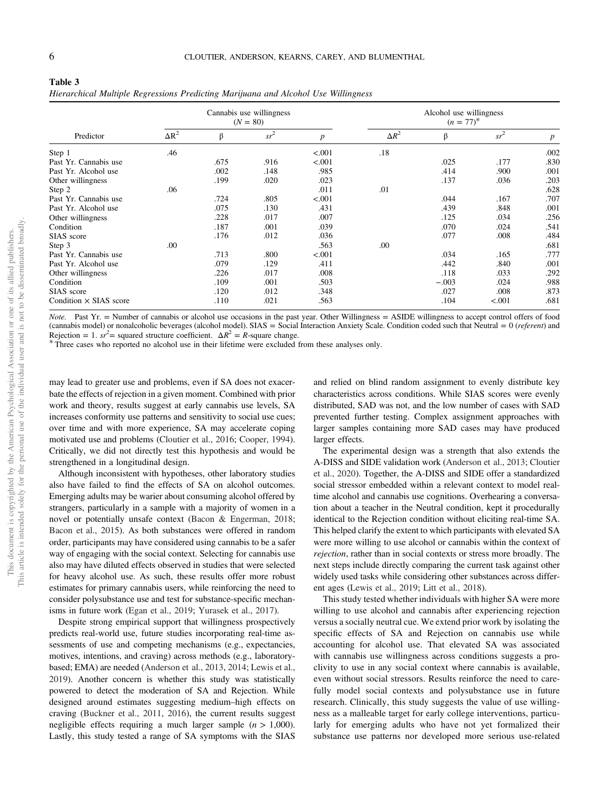<span id="page-6-0"></span>

| Table 3                                                                            |  |  |
|------------------------------------------------------------------------------------|--|--|
| Hierarchical Multiple Regressions Predicting Marijuana and Alcohol Use Willingness |  |  |

| Predictor                     |              | Cannabis use willingness<br>$(N = 80)$ |        |                  |              | Alcohol use willingness<br>$(n = 77)^{*}$ |        |                  |  |
|-------------------------------|--------------|----------------------------------------|--------|------------------|--------------|-------------------------------------------|--------|------------------|--|
|                               | $\Delta R^2$ | β                                      | $sr^2$ | $\boldsymbol{p}$ | $\Delta R^2$ | β                                         | $sr^2$ | $\boldsymbol{p}$ |  |
| Step 1                        | .46          |                                        |        | < .001           | .18          |                                           |        | .002             |  |
| Past Yr. Cannabis use         |              | .675                                   | .916   | < .001           |              | .025                                      | .177   | .830             |  |
| Past Yr. Alcohol use          |              | .002                                   | .148   | .985             |              | .414                                      | .900   | .001             |  |
| Other willingness             |              | .199                                   | .020   | .023             |              | .137                                      | .036   | .203             |  |
| Step 2                        | .06          |                                        |        | .011             | .01          |                                           |        | .628             |  |
| Past Yr. Cannabis use         |              | .724                                   | .805   | < .001           |              | .044                                      | .167   | .707             |  |
| Past Yr. Alcohol use          |              | .075                                   | .130   | .431             |              | .439                                      | .848   | .001             |  |
| Other willingness             |              | .228                                   | .017   | .007             |              | .125                                      | .034   | .256             |  |
| Condition                     |              | .187                                   | .001   | .039             |              | .070                                      | .024   | .541             |  |
| SIAS score                    |              | .176                                   | .012   | .036             |              | .077                                      | .008   | .484             |  |
| Step 3                        | .00          |                                        |        | .563             | .00          |                                           |        | .681             |  |
| Past Yr. Cannabis use         |              | .713                                   | .800   | < .001           |              | .034                                      | .165   | .777             |  |
| Past Yr. Alcohol use          |              | .079                                   | .129   | .411             |              | .442                                      | .840   | .001             |  |
| Other willingness             |              | .226                                   | .017   | .008             |              | .118                                      | .033   | .292             |  |
| Condition                     |              | .109                                   | .001   | .503             |              | $-.003$                                   | .024   | .988             |  |
| SIAS score                    |              | .120                                   | .012   | .348             |              | .027                                      | .008   | .873             |  |
| Condition $\times$ SIAS score |              | .110                                   | .021   | .563             |              | .104                                      | < .001 | .681             |  |

Note. Past Yr. = Number of cannabis or alcohol use occasions in the past year. Other Willingness = ASIDE willingness to accept control offers of food (cannabis model) or nonalcoholic beverages (alcohol model). SIAS = Social Interaction Anxiety Scale. Condition coded such that Neutral = 0 (referent) and Rejection = 1.  $sr^2$  = squared structure coefficient.  $\Delta R^2 = R$ -square change.

\* Three cases who reported no alcohol use in their lifetime were excluded from these analyses only.

may lead to greater use and problems, even if SA does not exacerbate the effects of rejection in a given moment. Combined with prior work and theory, results suggest at early cannabis use levels, SA increases conformity use patterns and sensitivity to social use cues; over time and with more experience, SA may accelerate coping motivated use and problems (Cloutier et al., 2016; Cooper, 1994). Critically, we did not directly test this hypothesis and would be strengthened in a longitudinal design.

Although inconsistent with hypotheses, other laboratory studies also have failed to find the effects of SA on alcohol outcomes. Emerging adults may be warier about consuming alcohol offered by strangers, particularly in a sample with a majority of women in a novel or potentially unsafe context (Bacon & Engerman, 2018; Bacon et al., 2015). As both substances were offered in random order, participants may have considered using cannabis to be a safer way of engaging with the social context. Selecting for cannabis use also may have diluted effects observed in studies that were selected for heavy alcohol use. As such, these results offer more robust estimates for primary cannabis users, while reinforcing the need to consider polysubstance use and test for substance-specific mechanisms in future work (Egan et al., 2019; Yurasek et al., 2017).

Despite strong empirical support that willingness prospectively predicts real-world use, future studies incorporating real-time assessments of use and competing mechanisms (e.g., expectancies, motives, intentions, and craving) across methods (e.g., laboratorybased; EMA) are needed (Anderson et al., 2013, 2014; Lewis et al., 2019). Another concern is whether this study was statistically powered to detect the moderation of SA and Rejection. While designed around estimates suggesting medium–high effects on craving (Buckner et al., 2011, 2016), the current results suggest negligible effects requiring a much larger sample  $(n > 1,000)$ . Lastly, this study tested a range of SA symptoms with the SIAS

and relied on blind random assignment to evenly distribute key characteristics across conditions. While SIAS scores were evenly distributed, SAD was not, and the low number of cases with SAD prevented further testing. Complex assignment approaches with larger samples containing more SAD cases may have produced larger effects.

The experimental design was a strength that also extends the A-DISS and SIDE validation work (Anderson et al., 2013; Cloutier et al., 2020). Together, the A-DISS and SIDE offer a standardized social stressor embedded within a relevant context to model realtime alcohol and cannabis use cognitions. Overhearing a conversation about a teacher in the Neutral condition, kept it procedurally identical to the Rejection condition without eliciting real-time SA. This helped clarify the extent to which participants with elevated SA were more willing to use alcohol or cannabis within the context of rejection, rather than in social contexts or stress more broadly. The next steps include directly comparing the current task against other widely used tasks while considering other substances across different ages (Lewis et al., 2019; Litt et al., 2018).

This study tested whether individuals with higher SA were more willing to use alcohol and cannabis after experiencing rejection versus a socially neutral cue. We extend prior work by isolating the specific effects of SA and Rejection on cannabis use while accounting for alcohol use. That elevated SA was associated with cannabis use willingness across conditions suggests a proclivity to use in any social context where cannabis is available, even without social stressors. Results reinforce the need to carefully model social contexts and polysubstance use in future research. Clinically, this study suggests the value of use willingness as a malleable target for early college interventions, particularly for emerging adults who have not yet formalized their substance use patterns nor developed more serious use-related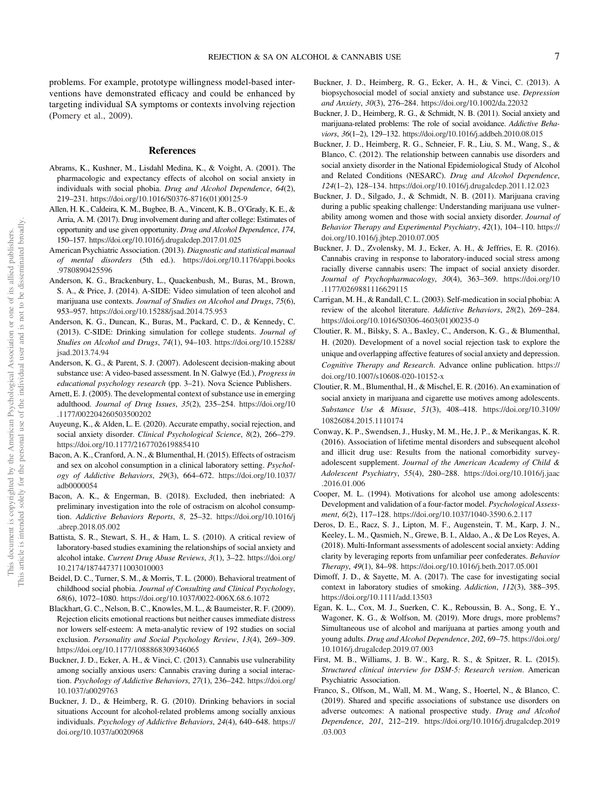problems. For example, prototype willingness model-based interventions have demonstrated efficacy and could be enhanced by targeting individual SA symptoms or contexts involving rejection (Pomery et al., 2009).

#### References

- Abrams, K., Kushner, M., Lisdahl Medina, K., & Voight, A. (2001). The pharmacologic and expectancy effects of alcohol on social anxiety in individuals with social phobia. Drug and Alcohol Dependence, 64(2), 219–231. [https://doi.org/10.1016/S0376-8716\(01\)00125-9](https://doi.org/10.1016/S0376-8716(01)00125-9)
- Allen, H. K., Caldeira, K. M., Bugbee, B. A., Vincent, K. B., O'Grady, K. E., & Arria, A. M. (2017). Drug involvement during and after college: Estimates of opportunity and use given opportunity. Drug and Alcohol Dependence, 174, 150–157. <https://doi.org/10.1016/j.drugalcdep.2017.01.025>
- American Psychiatric Association. (2013). Diagnostic and statistical manual of mental disorders (5th ed.). [https://doi.org/10.1176/appi.books](https://doi.org/10.1176/appi.books.9780890425596) [.9780890425596](https://doi.org/10.1176/appi.books.9780890425596)
- Anderson, K. G., Brackenbury, L., Quackenbush, M., Buras, M., Brown, S. A., & Price, J. (2014). A-SIDE: Video simulation of teen alcohol and marijuana use contexts. Journal of Studies on Alcohol and Drugs, 75(6), 953–957. <https://doi.org/10.15288/jsad.2014.75.953>
- Anderson, K. G., Duncan, K., Buras, M., Packard, C. D., & Kennedy, C. (2013). C-SIDE: Drinking simulation for college students. Journal of Studies on Alcohol and Drugs, 74(1), 94–103. [https://doi.org/10.15288/](https://doi.org/10.15288/jsad.2013.74.94) [jsad.2013.74.94](https://doi.org/10.15288/jsad.2013.74.94)
- Anderson, K. G., & Parent, S. J. (2007). Adolescent decision-making about substance use: A video-based assessment. In N. Galwye (Ed.), Progress in educational psychology research (pp. 3–21). Nova Science Publishers.
- Arnett, E. J. (2005). The developmental context of substance use in emerging adulthood. Journal of Drug Issues, 35(2), 235–254. [https://doi.org/10](https://doi.org/10.1177/002204260503500202) [.1177/002204260503500202](https://doi.org/10.1177/002204260503500202)
- Auyeung, K., & Alden, L. E. (2020). Accurate empathy, social rejection, and social anxiety disorder. Clinical Psychological Science, 8(2), 266–279. <https://doi.org/10.1177/2167702619885410>
- Bacon, A. K., Cranford, A. N., & Blumenthal, H. (2015). Effects of ostracism and sex on alcohol consumption in a clinical laboratory setting. Psychology of Addictive Behaviors, 29(3), 664–672. [https://doi.org/10.1037/](https://doi.org/10.1037/adb0000054) [adb0000054](https://doi.org/10.1037/adb0000054)
- Bacon, A. K., & Engerman, B. (2018). Excluded, then inebriated: A preliminary investigation into the role of ostracism on alcohol consumption. Addictive Behaviors Reports, 8, 25–32. [https://doi.org/10.1016/j](https://doi.org/10.1016/j.abrep.2018.05.002) [.abrep.2018.05.002](https://doi.org/10.1016/j.abrep.2018.05.002)
- Battista, S. R., Stewart, S. H., & Ham, L. S. (2010). A critical review of laboratory-based studies examining the relationships of social anxiety and alcohol intake. Current Drug Abuse Reviews, 3(1), 3–22. [https://doi.org/](https://doi.org/10.2174/1874473711003010003) [10.2174/1874473711003010003](https://doi.org/10.2174/1874473711003010003)
- Beidel, D. C., Turner, S. M., & Morris, T. L. (2000). Behavioral treatment of childhood social phobia. Journal of Consulting and Clinical Psychology, 68(6), 1072–1080. <https://doi.org/10.1037/0022-006X.68.6.1072>
- Blackhart, G. C., Nelson, B. C., Knowles, M. L., & Baumeister, R. F. (2009). Rejection elicits emotional reactions but neither causes immediate distress nor lowers self-esteem: A meta-analytic review of 192 studies on social exclusion. Personality and Social Psychology Review, 13(4), 269-309. <https://doi.org/10.1177/1088868309346065>
- Buckner, J. D., Ecker, A. H., & Vinci, C. (2013). Cannabis use vulnerability among socially anxious users: Cannabis craving during a social interaction. Psychology of Addictive Behaviors, 27(1), 236–242. [https://doi.org/](https://doi.org/10.1037/a0029763) [10.1037/a0029763](https://doi.org/10.1037/a0029763)
- Buckner, J. D., & Heimberg, R. G. (2010). Drinking behaviors in social situations Account for alcohol-related problems among socially anxious individuals. Psychology of Addictive Behaviors, 24(4), 640–648. [https://](https://doi.org/10.1037/a0020968) [doi.org/10.1037/a0020968](https://doi.org/10.1037/a0020968)
- Buckner, J. D., Heimberg, R. G., Ecker, A. H., & Vinci, C. (2013). A biopsychosocial model of social anxiety and substance use. Depression and Anxiety, 30(3), 276–284. <https://doi.org/10.1002/da.22032>
- Buckner, J. D., Heimberg, R. G., & Schmidt, N. B. (2011). Social anxiety and marijuana-related problems: The role of social avoidance. Addictive Behaviors, 36(1–2), 129–132. <https://doi.org/10.1016/j.addbeh.2010.08.015>
- Buckner, J. D., Heimberg, R. G., Schneier, F. R., Liu, S. M., Wang, S., & Blanco, C. (2012). The relationship between cannabis use disorders and social anxiety disorder in the National Epidemiological Study of Alcohol and Related Conditions (NESARC). Drug and Alcohol Dependence, 124(1–2), 128–134. <https://doi.org/10.1016/j.drugalcdep.2011.12.023>
- Buckner, J. D., Silgado, J., & Schmidt, N. B. (2011). Marijuana craving during a public speaking challenge: Understanding marijuana use vulnerability among women and those with social anxiety disorder. Journal of Behavior Therapy and Experimental Psychiatry, 42(1), 104–110. [https://](https://doi.org/10.1016/j.jbtep.2010.07.005) [doi.org/10.1016/j.jbtep.2010.07.005](https://doi.org/10.1016/j.jbtep.2010.07.005)
- Buckner, J. D., Zvolensky, M. J., Ecker, A. H., & Jeffries, E. R. (2016). Cannabis craving in response to laboratory-induced social stress among racially diverse cannabis users: The impact of social anxiety disorder. Journal of Psychopharmacology, 30(4), 363–369. [https://doi.org/10](https://doi.org/10.1177/0269881116629115) [.1177/0269881116629115](https://doi.org/10.1177/0269881116629115)
- Carrigan, M. H., & Randall, C. L. (2003). Self-medication in social phobia: A review of the alcohol literature. Addictive Behaviors, 28(2), 269–284. [https://doi.org/10.1016/S0306-4603\(01\)00235-0](https://doi.org/10.1016/S0306-4603(01)00235-0)
- Cloutier, R. M., Bilsky, S. A., Baxley, C., Anderson, K. G., & Blumenthal, H. (2020). Development of a novel social rejection task to explore the unique and overlapping affective features of social anxiety and depression. Cognitive Therapy and Research. Advance online publication. [https://](https://doi.org/10.1007/s10608-020-10152-x) [doi.org/10.1007/s10608-020-10152-x](https://doi.org/10.1007/s10608-020-10152-x)
- Cloutier, R. M., Blumenthal, H., & Mischel, E. R. (2016). An examination of social anxiety in marijuana and cigarette use motives among adolescents. Substance Use & Misuse, 51(3), 408–418. [https://doi.org/10.3109/](https://doi.org/10.3109/10826084.2015.1110174) [10826084.2015.1110174](https://doi.org/10.3109/10826084.2015.1110174)
- Conway, K. P., Swendsen, J., Husky, M. M., He, J. P., & Merikangas, K. R. (2016). Association of lifetime mental disorders and subsequent alcohol and illicit drug use: Results from the national comorbidity surveyadolescent supplement. Journal of the American Academy of Child & Adolescent Psychiatry, 55(4), 280–288. [https://doi.org/10.1016/j.jaac](https://doi.org/10.1016/j.jaac.2016.01.006) [.2016.01.006](https://doi.org/10.1016/j.jaac.2016.01.006)
- Cooper, M. L. (1994). Motivations for alcohol use among adolescents: Development and validation of a four-factor model. Psychological Assessment, 6(2), 117–128. <https://doi.org/10.1037/1040-3590.6.2.117>
- Deros, D. E., Racz, S. J., Lipton, M. F., Augenstein, T. M., Karp, J. N., Keeley, L. M., Qasmieh, N., Grewe, B. I., Aldao, A., & De Los Reyes, A. (2018). Multi-Informant assessments of adolescent social anxiety: Adding clarity by leveraging reports from unfamiliar peer confederates. Behavior Therapy, 49(1), 84–98. <https://doi.org/10.1016/j.beth.2017.05.001>
- Dimoff, J. D., & Sayette, M. A. (2017). The case for investigating social context in laboratory studies of smoking. Addiction, 112(3), 388–395. <https://doi.org/10.1111/add.13503>
- Egan, K. L., Cox, M. J., Suerken, C. K., Reboussin, B. A., Song, E. Y., Wagoner, K. G., & Wolfson, M. (2019). More drugs, more problems? Simultaneous use of alcohol and marijuana at parties among youth and young adults. Drug and Alcohol Dependence, 202, 69–75. [https://doi.org/](https://doi.org/10.1016/j.drugalcdep.2019.07.003) [10.1016/j.drugalcdep.2019.07.003](https://doi.org/10.1016/j.drugalcdep.2019.07.003)
- First, M. B., Williams, J. B. W., Karg, R. S., & Spitzer, R. L. (2015). Structured clinical interview for DSM-5: Research version. American Psychiatric Association.
- Franco, S., Olfson, M., Wall, M. M., Wang, S., Hoertel, N., & Blanco, C. (2019). Shared and specific associations of substance use disorders on adverse outcomes: A national prospective study. Drug and Alcohol Dependence, 201, 212–219. [https://doi.org/10.1016/j.drugalcdep.2019](https://doi.org/10.1016/j.drugalcdep.2019.03.003) [.03.003](https://doi.org/10.1016/j.drugalcdep.2019.03.003)